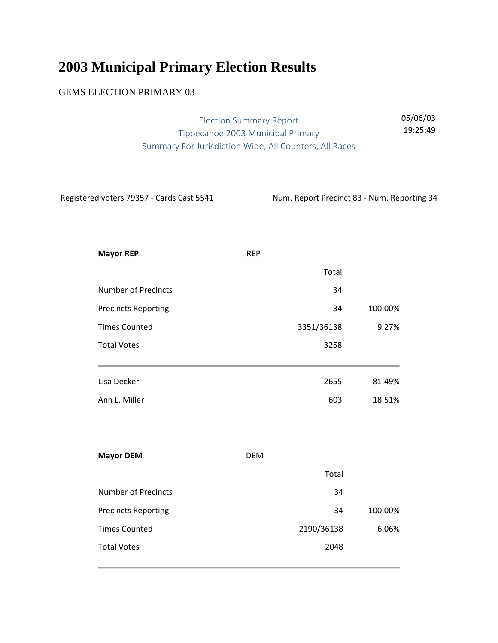## **2003 Municipal Primary Election Results**

## GEMS ELECTION PRIMARY 03

| Election Summary Report                                | 05/06/03 |
|--------------------------------------------------------|----------|
| Tippecanoe 2003 Municipal Primary                      | 19:25:49 |
| Summary For Jurisdiction Wide, All Counters, All Races |          |

Registered voters 79357 - Cards Cast 5541 Num. Report Precinct 83 - Num. Reporting 34

| <b>REP</b> |         |
|------------|---------|
| Total      |         |
| 34         |         |
| 34         | 100.00% |
| 3351/36138 | 9.27%   |
| 3258       |         |
| 2655       | 81.49%  |
| 603        | 18.51%  |
|            |         |
| <b>DEM</b> |         |
| Total      |         |
| 34         |         |
| 34         | 100.00% |
| 2190/36138 | 6.06%   |
| 2048       |         |
|            |         |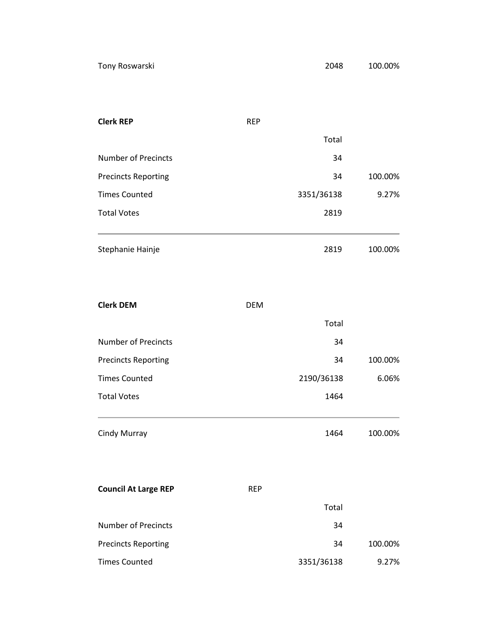| <b>Clerk REP</b>           | <b>REP</b> |         |
|----------------------------|------------|---------|
|                            | Total      |         |
| <b>Number of Precincts</b> | 34         |         |
| <b>Precincts Reporting</b> | 34         | 100.00% |
| <b>Times Counted</b>       | 3351/36138 | 9.27%   |
| <b>Total Votes</b>         | 2819       |         |
|                            |            |         |
| Stephanie Hainje           | 2819       | 100.00% |
|                            |            |         |

| <b>Clerk DEM</b>            | <b>DEM</b> |            |         |
|-----------------------------|------------|------------|---------|
|                             |            | Total      |         |
| <b>Number of Precincts</b>  |            | 34         |         |
| <b>Precincts Reporting</b>  |            | 34         | 100.00% |
| <b>Times Counted</b>        |            | 2190/36138 | 6.06%   |
| <b>Total Votes</b>          |            | 1464       |         |
| Cindy Murray                |            | 1464       | 100.00% |
| <b>Council At Large REP</b> | <b>REP</b> |            |         |
|                             |            | Total      |         |
| Number of Precincts         |            | 34         |         |
| <b>Precincts Reporting</b>  |            | 34         | 100.00% |
| <b>Times Counted</b>        |            | 3351/36138 | 9.27%   |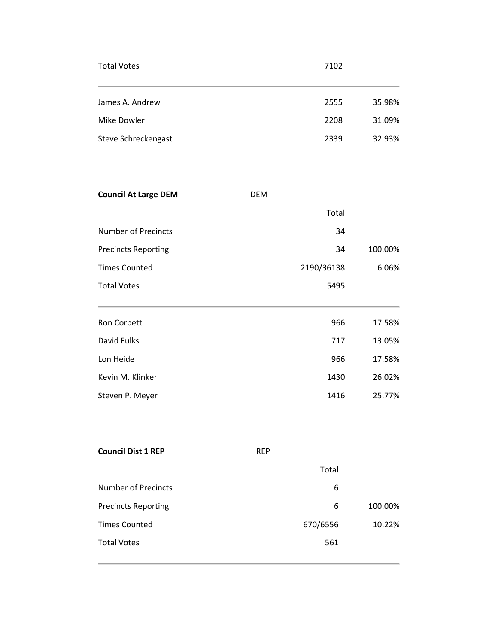| <b>Total Votes</b>  | 7102 |        |
|---------------------|------|--------|
| James A. Andrew     | 2555 | 35.98% |
| Mike Dowler         | 2208 | 31.09% |
| Steve Schreckengast | 2339 | 32.93% |

| <b>DEM</b> |         |
|------------|---------|
| Total      |         |
| 34         |         |
| 34         | 100.00% |
| 2190/36138 | 6.06%   |
| 5495       |         |
|            |         |
|            |         |
| 966        | 17.58%  |
| 717        | 13.05%  |
| 966        | 17.58%  |
| 1430       | 26.02%  |
|            |         |

| <b>Council Dist 1 REP</b>  | <b>REP</b> |         |
|----------------------------|------------|---------|
|                            | Total      |         |
| Number of Precincts        | 6          |         |
| <b>Precincts Reporting</b> | 6          | 100.00% |
| <b>Times Counted</b>       | 670/6556   | 10.22%  |
| <b>Total Votes</b>         | 561        |         |
|                            |            |         |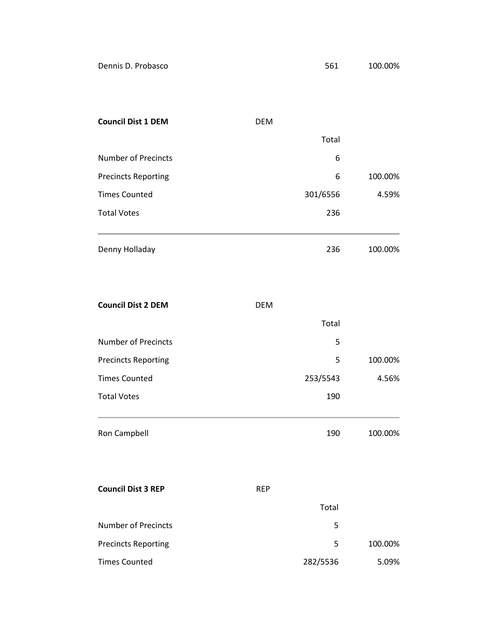| Dennis D. Probasco |  |  |  |
|--------------------|--|--|--|
|--------------------|--|--|--|

| <b>Council Dist 1 DEM</b>  | <b>DEM</b> |         |
|----------------------------|------------|---------|
|                            | Total      |         |
| Number of Precincts        | 6          |         |
| <b>Precincts Reporting</b> | 6          | 100.00% |
| <b>Times Counted</b>       | 301/6556   | 4.59%   |
| <b>Total Votes</b>         | 236        |         |
|                            |            |         |
| Denny Holladay             | 236        | 100.00% |

| <b>Council Dist 2 DEM</b>  | <b>DEM</b> |          |         |
|----------------------------|------------|----------|---------|
|                            |            | Total    |         |
| <b>Number of Precincts</b> |            | 5        |         |
| <b>Precincts Reporting</b> |            | 5        | 100.00% |
| <b>Times Counted</b>       |            | 253/5543 | 4.56%   |
| <b>Total Votes</b>         |            | 190      |         |
| Ron Campbell               |            | 190      | 100.00% |
| <b>Council Dist 3 REP</b>  | <b>REP</b> |          |         |
|                            |            | Total    |         |
| <b>Number of Precincts</b> |            | 5        |         |
| <b>Precincts Reporting</b> |            | 5        | 100.00% |
| <b>Times Counted</b>       |            | 282/5536 | 5.09%   |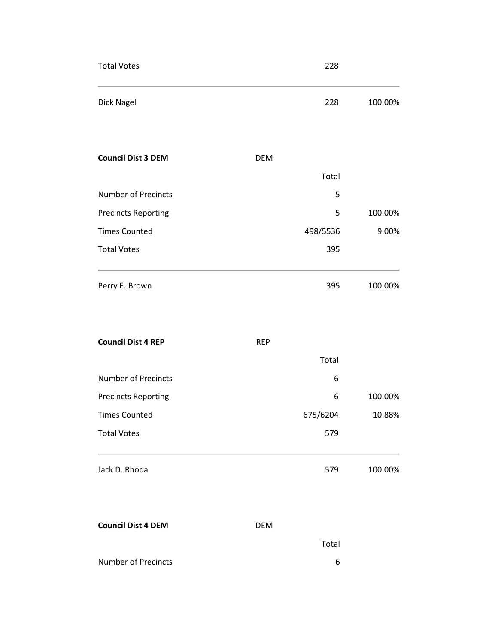| <b>Total Votes</b>         |            | 228      |         |
|----------------------------|------------|----------|---------|
| Dick Nagel                 |            | 228      | 100.00% |
| <b>Council Dist 3 DEM</b>  | <b>DEM</b> |          |         |
|                            |            | Total    |         |
| <b>Number of Precincts</b> |            | 5        |         |
| <b>Precincts Reporting</b> |            | 5        | 100.00% |
| <b>Times Counted</b>       |            | 498/5536 | 9.00%   |
| <b>Total Votes</b>         |            | 395      |         |
| Perry E. Brown             |            | 395      | 100.00% |
| <b>Council Dist 4 REP</b>  | <b>REP</b> |          |         |
|                            |            | Total    |         |
| Number of Precincts        |            | 6        |         |
| <b>Precincts Reporting</b> |            | 6        | 100.00% |
| <b>Times Counted</b>       |            | 675/6204 | 10.88%  |
| <b>Total Votes</b>         |            | 579      |         |
| Jack D. Rhoda              |            | 579      | 100.00% |
| <b>Council Dist 4 DEM</b>  | <b>DEM</b> |          |         |
|                            |            | Total    |         |
| <b>Number of Precincts</b> |            | 6        |         |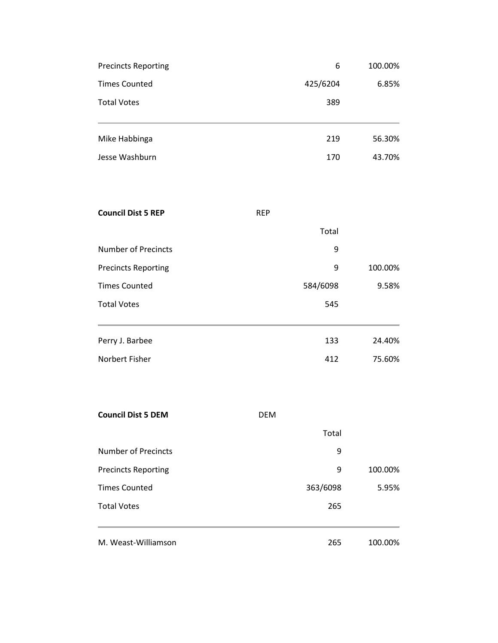| <b>Precincts Reporting</b> | 6        | 100.00% |
|----------------------------|----------|---------|
| <b>Times Counted</b>       | 425/6204 | 6.85%   |
| <b>Total Votes</b>         | 389      |         |
| Mike Habbinga              | 219      | 56.30%  |
| Jesse Washburn             | 170      | 43.70%  |

| <b>Council Dist 5 REP</b>  | <b>REP</b> |         |
|----------------------------|------------|---------|
|                            | Total      |         |
| <b>Number of Precincts</b> | 9          |         |
| <b>Precincts Reporting</b> | 9          | 100.00% |
| <b>Times Counted</b>       | 584/6098   | 9.58%   |
| <b>Total Votes</b>         | 545        |         |
|                            |            |         |
| Perry J. Barbee            | 133        | 24.40%  |
| Norbert Fisher             | 412        | 75.60%  |

| <b>Council Dist 5 DEM</b>  | <b>DEM</b> |         |
|----------------------------|------------|---------|
|                            | Total      |         |
| Number of Precincts        | 9          |         |
| <b>Precincts Reporting</b> | 9          | 100.00% |
| <b>Times Counted</b>       | 363/6098   | 5.95%   |
| <b>Total Votes</b>         | 265        |         |
| M. Weast-Williamson        | 265        | 100.00% |